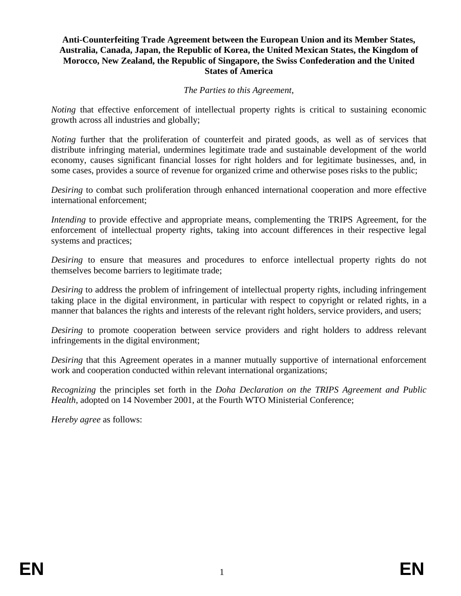#### **Anti-Counterfeiting Trade Agreement between the European Union and its Member States, Australia, Canada, Japan, the Republic of Korea, the United Mexican States, the Kingdom of Morocco, New Zealand, the Republic of Singapore, the Swiss Confederation and the United States of America**

#### *The Parties to this Agreement*,

*Noting* that effective enforcement of intellectual property rights is critical to sustaining economic growth across all industries and globally;

*Noting* further that the proliferation of counterfeit and pirated goods, as well as of services that distribute infringing material, undermines legitimate trade and sustainable development of the world economy, causes significant financial losses for right holders and for legitimate businesses, and, in some cases, provides a source of revenue for organized crime and otherwise poses risks to the public;

*Desiring* to combat such proliferation through enhanced international cooperation and more effective international enforcement;

*Intending* to provide effective and appropriate means, complementing the TRIPS Agreement, for the enforcement of intellectual property rights, taking into account differences in their respective legal systems and practices;

*Desiring* to ensure that measures and procedures to enforce intellectual property rights do not themselves become barriers to legitimate trade;

*Desiring* to address the problem of infringement of intellectual property rights, including infringement taking place in the digital environment, in particular with respect to copyright or related rights, in a manner that balances the rights and interests of the relevant right holders, service providers, and users;

*Desiring* to promote cooperation between service providers and right holders to address relevant infringements in the digital environment;

*Desiring* that this Agreement operates in a manner mutually supportive of international enforcement work and cooperation conducted within relevant international organizations;

*Recognizing* the principles set forth in the *Doha Declaration on the TRIPS Agreement and Public Health*, adopted on 14 November 2001, at the Fourth WTO Ministerial Conference;

*Hereby agree* as follows: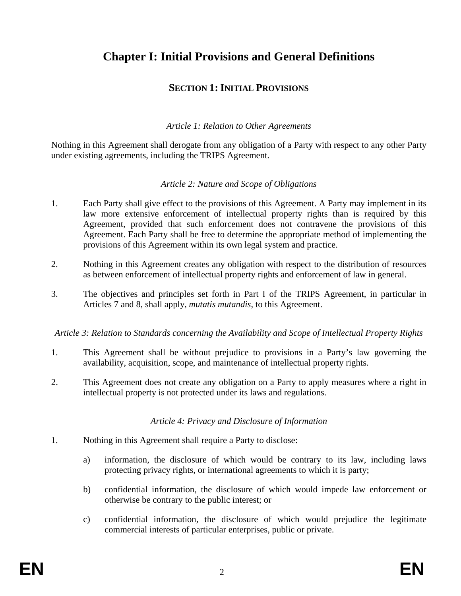# **Chapter I: Initial Provisions and General Definitions**

## **SECTION 1: INITIAL PROVISIONS**

#### *Article 1: Relation to Other Agreements*

Nothing in this Agreement shall derogate from any obligation of a Party with respect to any other Party under existing agreements, including the TRIPS Agreement.

#### *Article 2: Nature and Scope of Obligations*

- 1. Each Party shall give effect to the provisions of this Agreement. A Party may implement in its law more extensive enforcement of intellectual property rights than is required by this Agreement, provided that such enforcement does not contravene the provisions of this Agreement. Each Party shall be free to determine the appropriate method of implementing the provisions of this Agreement within its own legal system and practice.
- 2. Nothing in this Agreement creates any obligation with respect to the distribution of resources as between enforcement of intellectual property rights and enforcement of law in general.
- 3. The objectives and principles set forth in Part I of the TRIPS Agreement, in particular in Articles 7 and 8, shall apply, *mutatis mutandis*, to this Agreement.

*Article 3: Relation to Standards concerning the Availability and Scope of Intellectual Property Rights* 

- 1. This Agreement shall be without prejudice to provisions in a Party's law governing the availability, acquisition, scope, and maintenance of intellectual property rights.
- 2. This Agreement does not create any obligation on a Party to apply measures where a right in intellectual property is not protected under its laws and regulations.

#### *Article 4: Privacy and Disclosure of Information*

- 1. Nothing in this Agreement shall require a Party to disclose:
	- a) information, the disclosure of which would be contrary to its law, including laws protecting privacy rights, or international agreements to which it is party;
	- b) confidential information, the disclosure of which would impede law enforcement or otherwise be contrary to the public interest; or
	- c) confidential information, the disclosure of which would prejudice the legitimate commercial interests of particular enterprises, public or private.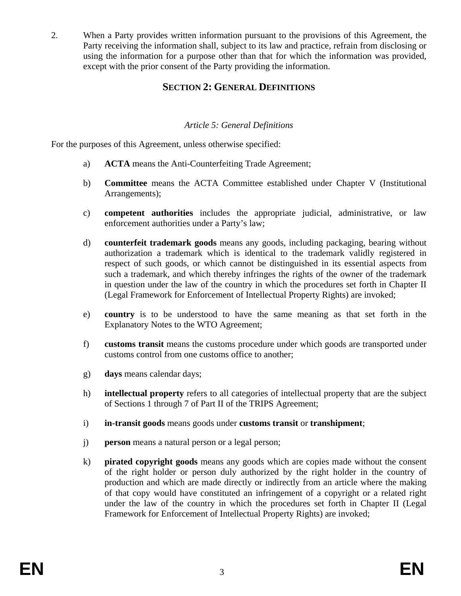2. When a Party provides written information pursuant to the provisions of this Agreement, the Party receiving the information shall, subject to its law and practice, refrain from disclosing or using the information for a purpose other than that for which the information was provided, except with the prior consent of the Party providing the information.

### **SECTION 2: GENERAL DEFINITIONS**

#### *Article 5: General Definitions*

For the purposes of this Agreement, unless otherwise specified:

- a) **ACTA** means the Anti-Counterfeiting Trade Agreement;
- b) **Committee** means the ACTA Committee established under Chapter V (Institutional Arrangements);
- c) **competent authorities** includes the appropriate judicial, administrative, or law enforcement authorities under a Party's law;
- d) **counterfeit trademark goods** means any goods, including packaging, bearing without authorization a trademark which is identical to the trademark validly registered in respect of such goods, or which cannot be distinguished in its essential aspects from such a trademark, and which thereby infringes the rights of the owner of the trademark in question under the law of the country in which the procedures set forth in Chapter II (Legal Framework for Enforcement of Intellectual Property Rights) are invoked;
- e) **country** is to be understood to have the same meaning as that set forth in the Explanatory Notes to the WTO Agreement;
- f) **customs transit** means the customs procedure under which goods are transported under customs control from one customs office to another;
- g) **days** means calendar days;
- h) **intellectual property** refers to all categories of intellectual property that are the subject of Sections 1 through 7 of Part II of the TRIPS Agreement;
- i) **in-transit goods** means goods under **customs transit** or **transhipment**;
- j) **person** means a natural person or a legal person;
- k) **pirated copyright goods** means any goods which are copies made without the consent of the right holder or person duly authorized by the right holder in the country of production and which are made directly or indirectly from an article where the making of that copy would have constituted an infringement of a copyright or a related right under the law of the country in which the procedures set forth in Chapter II (Legal Framework for Enforcement of Intellectual Property Rights) are invoked;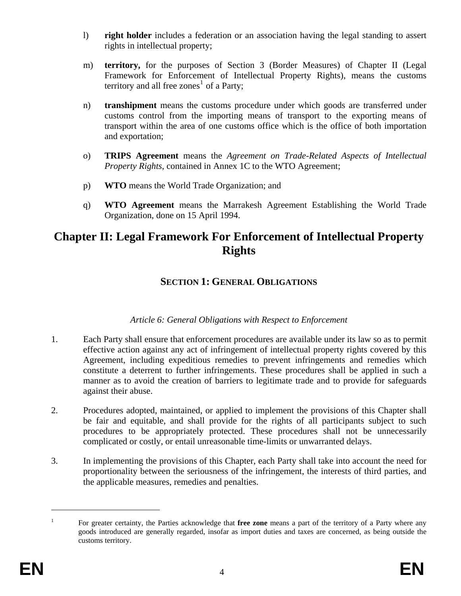- l) **right holder** includes a federation or an association having the legal standing to assert rights in intellectual property;
- m) **territory,** for the purposes of Section 3 (Border Measures) of Chapter II (Legal Framework for Enforcement of Intellectual Property Rights), means the customs territory and all free zones<sup>[1](#page-3-0)</sup> of a Party;
- n) **transhipment** means the customs procedure under which goods are transferred under customs control from the importing means of transport to the exporting means of transport within the area of one customs office which is the office of both importation and exportation;
- o) **TRIPS Agreement** means the *Agreement on Trade-Related Aspects of Intellectual Property Rights*, contained in Annex 1C to the WTO Agreement;
- p) **WTO** means the World Trade Organization; and
- q) **WTO Agreement** means the Marrakesh Agreement Establishing the World Trade Organization, done on 15 April 1994.

# **Chapter II: Legal Framework For Enforcement of Intellectual Property Rights**

## **SECTION 1: GENERAL OBLIGATIONS**

### *Article 6: General Obligations with Respect to Enforcement*

- 1. Each Party shall ensure that enforcement procedures are available under its law so as to permit effective action against any act of infringement of intellectual property rights covered by this Agreement, including expeditious remedies to prevent infringements and remedies which constitute a deterrent to further infringements. These procedures shall be applied in such a manner as to avoid the creation of barriers to legitimate trade and to provide for safeguards against their abuse.
- 2. Procedures adopted, maintained, or applied to implement the provisions of this Chapter shall be fair and equitable, and shall provide for the rights of all participants subject to such procedures to be appropriately protected. These procedures shall not be unnecessarily complicated or costly, or entail unreasonable time-limits or unwarranted delays.
- 3. In implementing the provisions of this Chapter, each Party shall take into account the need for proportionality between the seriousness of the infringement, the interests of third parties, and the applicable measures, remedies and penalties.

<span id="page-3-0"></span><sup>1</sup> For greater certainty, the Parties acknowledge that **free zone** means a part of the territory of a Party where any goods introduced are generally regarded, insofar as import duties and taxes are concerned, as being outside the customs territory.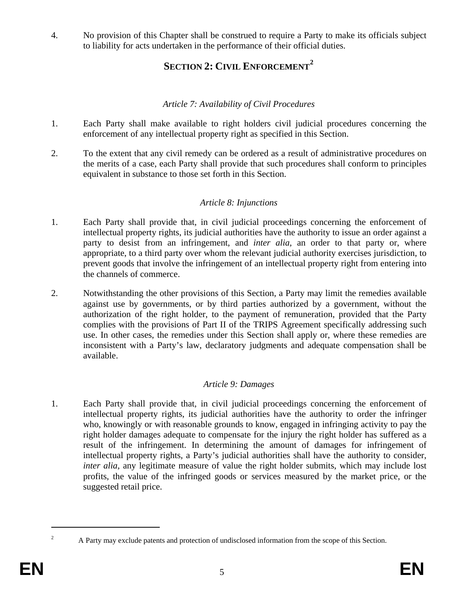4. No provision of this Chapter shall be construed to require a Party to make its officials subject to liability for acts undertaken in the performance of their official duties.

## **SECTION [2](#page-4-0): CIVIL ENFORCEMENT<sup>2</sup>**

#### *Article 7: Availability of Civil Procedures*

- 1. Each Party shall make available to right holders civil judicial procedures concerning the enforcement of any intellectual property right as specified in this Section.
- 2. To the extent that any civil remedy can be ordered as a result of administrative procedures on the merits of a case, each Party shall provide that such procedures shall conform to principles equivalent in substance to those set forth in this Section.

#### *Article 8: Injunctions*

- 1. Each Party shall provide that, in civil judicial proceedings concerning the enforcement of intellectual property rights, its judicial authorities have the authority to issue an order against a party to desist from an infringement, and *inter alia,* an order to that party or, where appropriate, to a third party over whom the relevant judicial authority exercises jurisdiction, to prevent goods that involve the infringement of an intellectual property right from entering into the channels of commerce.
- 2. Notwithstanding the other provisions of this Section, a Party may limit the remedies available against use by governments, or by third parties authorized by a government, without the authorization of the right holder, to the payment of remuneration, provided that the Party complies with the provisions of Part II of the TRIPS Agreement specifically addressing such use. In other cases, the remedies under this Section shall apply or, where these remedies are inconsistent with a Party's law, declaratory judgments and adequate compensation shall be available.

#### *Article 9: Damages*

1. Each Party shall provide that, in civil judicial proceedings concerning the enforcement of intellectual property rights, its judicial authorities have the authority to order the infringer who, knowingly or with reasonable grounds to know, engaged in infringing activity to pay the right holder damages adequate to compensate for the injury the right holder has suffered as a result of the infringement. In determining the amount of damages for infringement of intellectual property rights, a Party's judicial authorities shall have the authority to consider, *inter alia,* any legitimate measure of value the right holder submits, which may include lost profits, the value of the infringed goods or services measured by the market price, or the suggested retail price.

<span id="page-4-0"></span><sup>2</sup> A Party may exclude patents and protection of undisclosed information from the scope of this Section.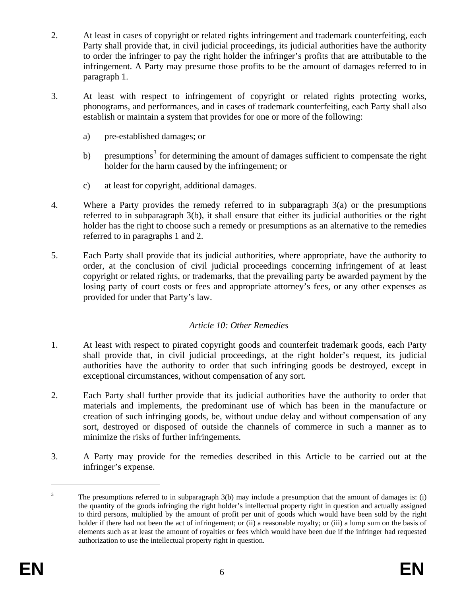- 2. At least in cases of copyright or related rights infringement and trademark counterfeiting, each Party shall provide that, in civil judicial proceedings, its judicial authorities have the authority to order the infringer to pay the right holder the infringer's profits that are attributable to the infringement. A Party may presume those profits to be the amount of damages referred to in paragraph 1.
- 3. At least with respect to infringement of copyright or related rights protecting works, phonograms, and performances, and in cases of trademark counterfeiting, each Party shall also establish or maintain a system that provides for one or more of the following:
	- a) pre-established damages; or
	- b) presumptions<sup>[3](#page-5-0)</sup> for determining the amount of damages sufficient to compensate the right holder for the harm caused by the infringement; or
	- c) at least for copyright, additional damages.
- 4. Where a Party provides the remedy referred to in subparagraph 3(a) or the presumptions referred to in subparagraph 3(b), it shall ensure that either its judicial authorities or the right holder has the right to choose such a remedy or presumptions as an alternative to the remedies referred to in paragraphs 1 and 2.
- 5. Each Party shall provide that its judicial authorities, where appropriate, have the authority to order, at the conclusion of civil judicial proceedings concerning infringement of at least copyright or related rights, or trademarks, that the prevailing party be awarded payment by the losing party of court costs or fees and appropriate attorney's fees, or any other expenses as provided for under that Party's law.

#### *Article 10: Other Remedies*

- 1. At least with respect to pirated copyright goods and counterfeit trademark goods, each Party shall provide that, in civil judicial proceedings, at the right holder's request, its judicial authorities have the authority to order that such infringing goods be destroyed, except in exceptional circumstances, without compensation of any sort.
- 2. Each Party shall further provide that its judicial authorities have the authority to order that materials and implements, the predominant use of which has been in the manufacture or creation of such infringing goods, be, without undue delay and without compensation of any sort, destroyed or disposed of outside the channels of commerce in such a manner as to minimize the risks of further infringements*.*
- 3. A Party may provide for the remedies described in this Article to be carried out at the infringer's expense.

<span id="page-5-0"></span><sup>3</sup> The presumptions referred to in subparagraph 3(b) may include a presumption that the amount of damages is: (i) the quantity of the goods infringing the right holder's intellectual property right in question and actually assigned to third persons, multiplied by the amount of profit per unit of goods which would have been sold by the right holder if there had not been the act of infringement; or (ii) a reasonable royalty; or (iii) a lump sum on the basis of elements such as at least the amount of royalties or fees which would have been due if the infringer had requested authorization to use the intellectual property right in question.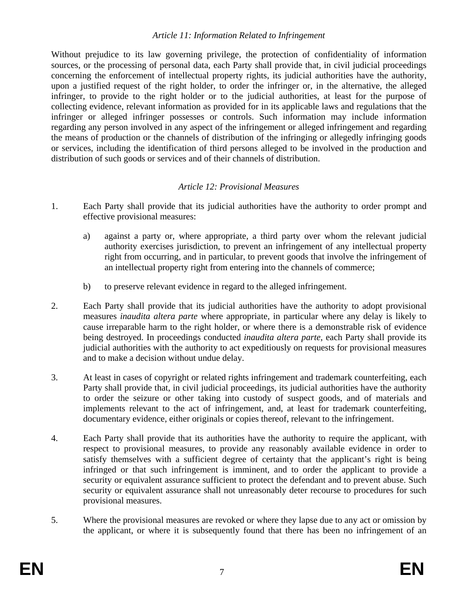#### *Article 11: Information Related to Infringement*

Without prejudice to its law governing privilege, the protection of confidentiality of information sources, or the processing of personal data, each Party shall provide that, in civil judicial proceedings concerning the enforcement of intellectual property rights, its judicial authorities have the authority, upon a justified request of the right holder, to order the infringer or, in the alternative, the alleged infringer, to provide to the right holder or to the judicial authorities, at least for the purpose of collecting evidence, relevant information as provided for in its applicable laws and regulations that the infringer or alleged infringer possesses or controls. Such information may include information regarding any person involved in any aspect of the infringement or alleged infringement and regarding the means of production or the channels of distribution of the infringing or allegedly infringing goods or services, including the identification of third persons alleged to be involved in the production and distribution of such goods or services and of their channels of distribution.

#### *Article 12: Provisional Measures*

- 1. Each Party shall provide that its judicial authorities have the authority to order prompt and effective provisional measures:
	- a) against a party or, where appropriate, a third party over whom the relevant judicial authority exercises jurisdiction, to prevent an infringement of any intellectual property right from occurring, and in particular, to prevent goods that involve the infringement of an intellectual property right from entering into the channels of commerce;
	- b) to preserve relevant evidence in regard to the alleged infringement.
- 2. Each Party shall provide that its judicial authorities have the authority to adopt provisional measures *inaudita altera parte* where appropriate, in particular where any delay is likely to cause irreparable harm to the right holder, or where there is a demonstrable risk of evidence being destroyed. In proceedings conducted *inaudita altera parte*, each Party shall provide its judicial authorities with the authority to act expeditiously on requests for provisional measures and to make a decision without undue delay.
- 3. At least in cases of copyright or related rights infringement and trademark counterfeiting, each Party shall provide that, in civil judicial proceedings, its judicial authorities have the authority to order the seizure or other taking into custody of suspect goods, and of materials and implements relevant to the act of infringement, and, at least for trademark counterfeiting, documentary evidence, either originals or copies thereof, relevant to the infringement.
- 4. Each Party shall provide that its authorities have the authority to require the applicant, with respect to provisional measures, to provide any reasonably available evidence in order to satisfy themselves with a sufficient degree of certainty that the applicant's right is being infringed or that such infringement is imminent, and to order the applicant to provide a security or equivalent assurance sufficient to protect the defendant and to prevent abuse. Such security or equivalent assurance shall not unreasonably deter recourse to procedures for such provisional measures.
- 5. Where the provisional measures are revoked or where they lapse due to any act or omission by the applicant, or where it is subsequently found that there has been no infringement of an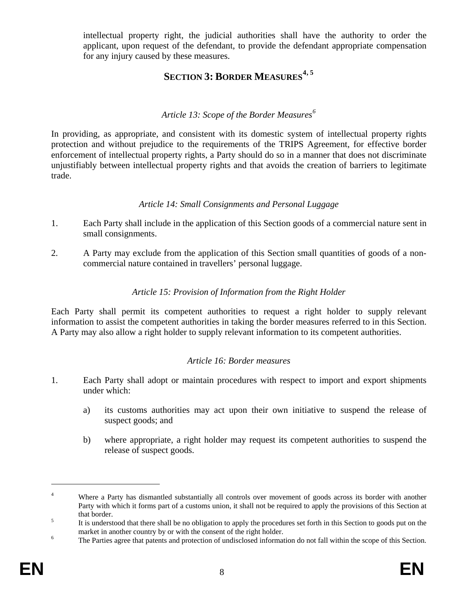intellectual property right, the judicial authorities shall have the authority to order the applicant, upon request of the defendant, to provide the defendant appropriate compensation for any injury caused by these measures.

# **SECTION 3: BORDER MEASURES[4](#page-7-0), [5](#page-7-1)**

#### *Article 13: Scope of the Border Measures[6](#page-7-2)*

In providing, as appropriate, and consistent with its domestic system of intellectual property rights protection and without prejudice to the requirements of the TRIPS Agreement, for effective border enforcement of intellectual property rights, a Party should do so in a manner that does not discriminate unjustifiably between intellectual property rights and that avoids the creation of barriers to legitimate trade.

#### *Article 14: Small Consignments and Personal Luggage*

- 1. Each Party shall include in the application of this Section goods of a commercial nature sent in small consignments.
- 2. A Party may exclude from the application of this Section small quantities of goods of a noncommercial nature contained in travellers' personal luggage.

#### *Article 15: Provision of Information from the Right Holder*

Each Party shall permit its competent authorities to request a right holder to supply relevant information to assist the competent authorities in taking the border measures referred to in this Section. A Party may also allow a right holder to supply relevant information to its competent authorities.

#### *Article 16: Border measures*

- 1. Each Party shall adopt or maintain procedures with respect to import and export shipments under which:
	- a) its customs authorities may act upon their own initiative to suspend the release of suspect goods; and
	- b) where appropriate, a right holder may request its competent authorities to suspend the release of suspect goods.

<span id="page-7-0"></span><sup>4</sup> Where a Party has dismantled substantially all controls over movement of goods across its border with another Party with which it forms part of a customs union, it shall not be required to apply the provisions of this Section at that border.

<span id="page-7-1"></span>It is understood that there shall be no obligation to apply the procedures set forth in this Section to goods put on the market in another country by or with the consent of the right holder.<br>
The Perties agree that patents and protection of undisclosed information

<span id="page-7-2"></span>The Parties agree that patents and protection of undisclosed information do not fall within the scope of this Section.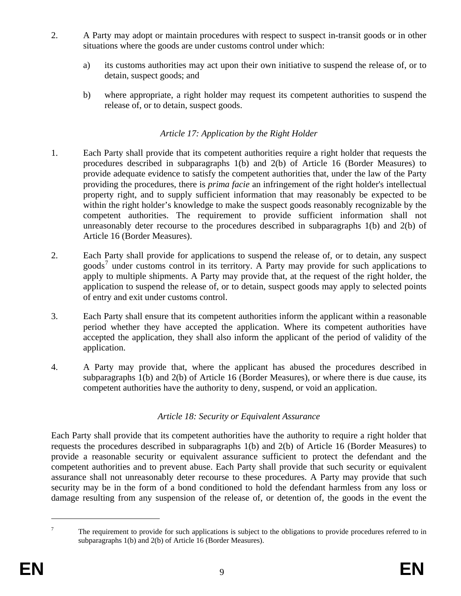- 2. A Party may adopt or maintain procedures with respect to suspect in-transit goods or in other situations where the goods are under customs control under which:
	- a) its customs authorities may act upon their own initiative to suspend the release of, or to detain, suspect goods; and
	- b) where appropriate, a right holder may request its competent authorities to suspend the release of, or to detain, suspect goods.

### *Article 17: Application by the Right Holder*

- 1. Each Party shall provide that its competent authorities require a right holder that requests the procedures described in subparagraphs 1(b) and 2(b) of Article 16 (Border Measures) to provide adequate evidence to satisfy the competent authorities that, under the law of the Party providing the procedures, there is *prima facie* an infringement of the right holder's intellectual property right, and to supply sufficient information that may reasonably be expected to be within the right holder's knowledge to make the suspect goods reasonably recognizable by the competent authorities. The requirement to provide sufficient information shall not unreasonably deter recourse to the procedures described in subparagraphs 1(b) and 2(b) of Article 16 (Border Measures).
- 2. Each Party shall provide for applications to suspend the release of, or to detain, any suspect goods<sup>[7](#page-8-0)</sup> under customs control in its territory. A Party may provide for such applications to apply to multiple shipments. A Party may provide that, at the request of the right holder, the application to suspend the release of, or to detain, suspect goods may apply to selected points of entry and exit under customs control.
- 3. Each Party shall ensure that its competent authorities inform the applicant within a reasonable period whether they have accepted the application. Where its competent authorities have accepted the application, they shall also inform the applicant of the period of validity of the application.
- 4. A Party may provide that, where the applicant has abused the procedures described in subparagraphs 1(b) and 2(b) of Article 16 (Border Measures), or where there is due cause, its competent authorities have the authority to deny, suspend, or void an application.

#### *Article 18: Security or Equivalent Assurance*

Each Party shall provide that its competent authorities have the authority to require a right holder that requests the procedures described in subparagraphs 1(b) and 2(b) of Article 16 (Border Measures) to provide a reasonable security or equivalent assurance sufficient to protect the defendant and the competent authorities and to prevent abuse. Each Party shall provide that such security or equivalent assurance shall not unreasonably deter recourse to these procedures. A Party may provide that such security may be in the form of a bond conditioned to hold the defendant harmless from any loss or damage resulting from any suspension of the release of, or detention of, the goods in the event the

<span id="page-8-0"></span><sup>7</sup> The requirement to provide for such applications is subject to the obligations to provide procedures referred to in subparagraphs 1(b) and 2(b) of Article 16 (Border Measures).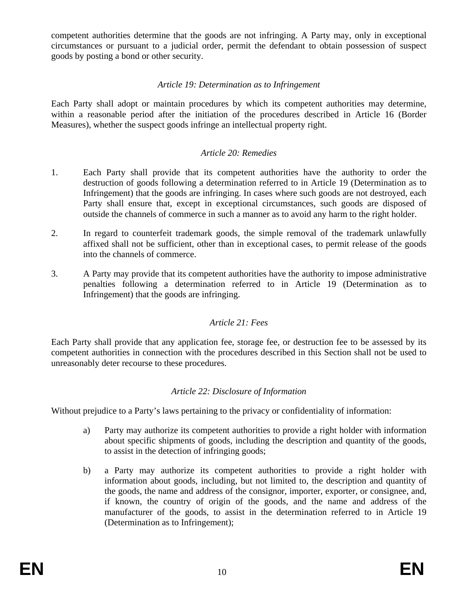competent authorities determine that the goods are not infringing. A Party may, only in exceptional circumstances or pursuant to a judicial order, permit the defendant to obtain possession of suspect goods by posting a bond or other security.

#### *Article 19: Determination as to Infringement*

Each Party shall adopt or maintain procedures by which its competent authorities may determine, within a reasonable period after the initiation of the procedures described in Article 16 (Border Measures), whether the suspect goods infringe an intellectual property right.

#### *Article 20: Remedies*

- 1. Each Party shall provide that its competent authorities have the authority to order the destruction of goods following a determination referred to in Article 19 (Determination as to Infringement) that the goods are infringing. In cases where such goods are not destroyed, each Party shall ensure that, except in exceptional circumstances, such goods are disposed of outside the channels of commerce in such a manner as to avoid any harm to the right holder.
- 2. In regard to counterfeit trademark goods, the simple removal of the trademark unlawfully affixed shall not be sufficient, other than in exceptional cases, to permit release of the goods into the channels of commerce.
- 3. A Party may provide that its competent authorities have the authority to impose administrative penalties following a determination referred to in Article 19 (Determination as to Infringement) that the goods are infringing.

#### *Article 21: Fees*

Each Party shall provide that any application fee, storage fee, or destruction fee to be assessed by its competent authorities in connection with the procedures described in this Section shall not be used to unreasonably deter recourse to these procedures.

#### *Article 22: Disclosure of Information*

Without prejudice to a Party's laws pertaining to the privacy or confidentiality of information:

- a) Party may authorize its competent authorities to provide a right holder with information about specific shipments of goods, including the description and quantity of the goods, to assist in the detection of infringing goods;
- b) a Party may authorize its competent authorities to provide a right holder with information about goods, including, but not limited to, the description and quantity of the goods, the name and address of the consignor, importer, exporter, or consignee, and, if known, the country of origin of the goods, and the name and address of the manufacturer of the goods, to assist in the determination referred to in Article 19 (Determination as to Infringement);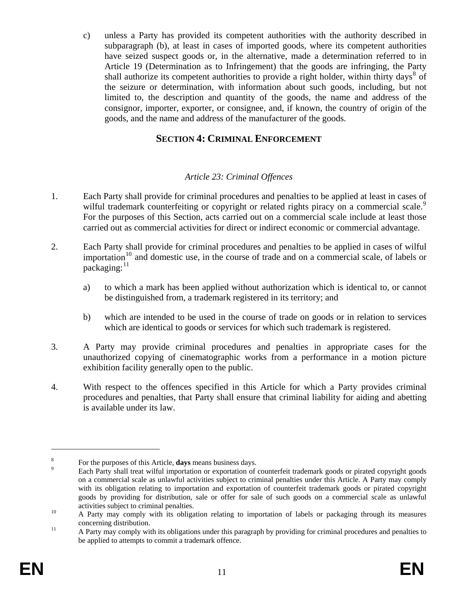c) unless a Party has provided its competent authorities with the authority described in subparagraph (b), at least in cases of imported goods, where its competent authorities have seized suspect goods or, in the alternative, made a determination referred to in Article 19 (Determination as to Infringement) that the goods are infringing, the Party shall authorize its competent authorities to provide a right holder, within thirty days<sup>[8](#page-10-0)</sup> of the seizure or determination, with information about such goods, including, but not limited to, the description and quantity of the goods, the name and address of the consignor, importer, exporter, or consignee, and, if known, the country of origin of the goods, and the name and address of the manufacturer of the goods.

### **SECTION 4: CRIMINAL ENFORCEMENT**

#### *Article 23: Criminal Offences*

- 1. Each Party shall provide for criminal procedures and penalties to be applied at least in cases of wilful trademark counterfeiting or copyright or related rights piracy on a commercial scale.<sup>[9](#page-10-1)</sup> For the purposes of this Section, acts carried out on a commercial scale include at least those carried out as commercial activities for direct or indirect economic or commercial advantage.
- 2. Each Party shall provide for criminal procedures and penalties to be applied in cases of wilful importation<sup>[10](#page-10-2)</sup> and domestic use, in the course of trade and on a commercial scale, of labels or packaging:<sup>[11](#page-10-3)</sup>
	- a) to which a mark has been applied without authorization which is identical to, or cannot be distinguished from, a trademark registered in its territory; and
	- b) which are intended to be used in the course of trade on goods or in relation to services which are identical to goods or services for which such trademark is registered.
- 3. A Party may provide criminal procedures and penalties in appropriate cases for the unauthorized copying of cinematographic works from a performance in a motion picture exhibition facility generally open to the public.
- 4. With respect to the offences specified in this Article for which a Party provides criminal procedures and penalties, that Party shall ensure that criminal liability for aiding and abetting is available under its law.

<span id="page-10-0"></span><sup>8</sup> For the purposes of this Article, **days** means business days.

<span id="page-10-1"></span>Each Party shall treat wilful importation or exportation of counterfeit trademark goods or pirated copyright goods on a commercial scale as unlawful activities subject to criminal penalties under this Article. A Party may comply with its obligation relating to importation and exportation of counterfeit trademark goods or pirated copyright goods by providing for distribution, sale or offer for sale of such goods on a commercial scale as unlawful activities subject to criminal penalties.<br>
A Party may comply with its obligation relating to importation of labels or packaging through its measures

<span id="page-10-3"></span><span id="page-10-2"></span>concerning distribution.<br>
<sup>11</sup> A Party may comply with its obligations under this paragraph by providing for criminal procedures and penalties to be applied to attempts to commit a trademark offence.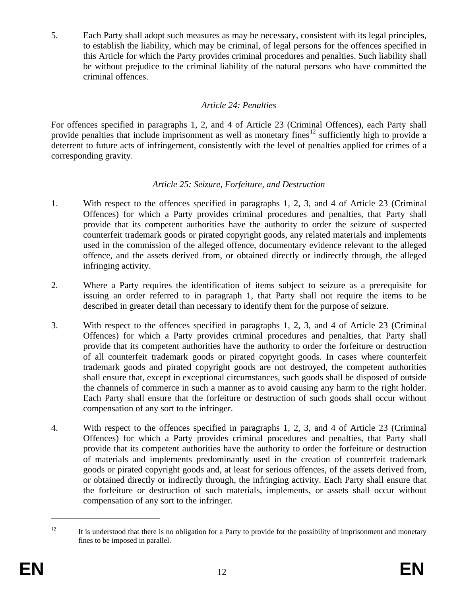5. Each Party shall adopt such measures as may be necessary, consistent with its legal principles, to establish the liability, which may be criminal, of legal persons for the offences specified in this Article for which the Party provides criminal procedures and penalties. Such liability shall be without prejudice to the criminal liability of the natural persons who have committed the criminal offences.

#### *Article 24: Penalties*

For offences specified in paragraphs 1, 2, and 4 of Article 23 (Criminal Offences), each Party shall provide penalties that include imprisonment as well as monetary fines<sup>[12](#page-11-0)</sup> sufficiently high to provide a deterrent to future acts of infringement, consistently with the level of penalties applied for crimes of a corresponding gravity.

#### *Article 25: Seizure, Forfeiture, and Destruction*

- 1. With respect to the offences specified in paragraphs 1, 2, 3, and 4 of Article 23 (Criminal Offences) for which a Party provides criminal procedures and penalties, that Party shall provide that its competent authorities have the authority to order the seizure of suspected counterfeit trademark goods or pirated copyright goods, any related materials and implements used in the commission of the alleged offence, documentary evidence relevant to the alleged offence, and the assets derived from, or obtained directly or indirectly through, the alleged infringing activity.
- 2. Where a Party requires the identification of items subject to seizure as a prerequisite for issuing an order referred to in paragraph 1, that Party shall not require the items to be described in greater detail than necessary to identify them for the purpose of seizure.
- 3. With respect to the offences specified in paragraphs 1, 2, 3, and 4 of Article 23 (Criminal Offences) for which a Party provides criminal procedures and penalties, that Party shall provide that its competent authorities have the authority to order the forfeiture or destruction of all counterfeit trademark goods or pirated copyright goods. In cases where counterfeit trademark goods and pirated copyright goods are not destroyed, the competent authorities shall ensure that, except in exceptional circumstances, such goods shall be disposed of outside the channels of commerce in such a manner as to avoid causing any harm to the right holder. Each Party shall ensure that the forfeiture or destruction of such goods shall occur without compensation of any sort to the infringer.
- 4. With respect to the offences specified in paragraphs 1, 2, 3, and 4 of Article 23 (Criminal Offences) for which a Party provides criminal procedures and penalties, that Party shall provide that its competent authorities have the authority to order the forfeiture or destruction of materials and implements predominantly used in the creation of counterfeit trademark goods or pirated copyright goods and, at least for serious offences, of the assets derived from, or obtained directly or indirectly through, the infringing activity. Each Party shall ensure that the forfeiture or destruction of such materials, implements, or assets shall occur without compensation of any sort to the infringer.

<span id="page-11-0"></span> $12$  It is understood that there is no obligation for a Party to provide for the possibility of imprisonment and monetary fines to be imposed in parallel.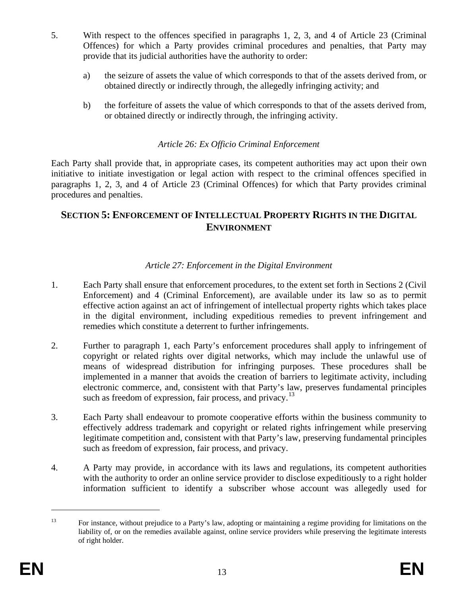- 5. With respect to the offences specified in paragraphs 1, 2, 3, and 4 of Article 23 (Criminal Offences) for which a Party provides criminal procedures and penalties, that Party may provide that its judicial authorities have the authority to order:
	- a) the seizure of assets the value of which corresponds to that of the assets derived from, or obtained directly or indirectly through, the allegedly infringing activity; and
	- b) the forfeiture of assets the value of which corresponds to that of the assets derived from, or obtained directly or indirectly through, the infringing activity.

#### *Article 26: Ex Officio Criminal Enforcement*

Each Party shall provide that, in appropriate cases, its competent authorities may act upon their own initiative to initiate investigation or legal action with respect to the criminal offences specified in paragraphs 1, 2, 3, and 4 of Article 23 (Criminal Offences) for which that Party provides criminal procedures and penalties.

### **SECTION 5: ENFORCEMENT OF INTELLECTUAL PROPERTY RIGHTS IN THE DIGITAL ENVIRONMENT**

#### *Article 27: Enforcement in the Digital Environment*

- 1. Each Party shall ensure that enforcement procedures, to the extent set forth in Sections 2 (Civil Enforcement) and 4 (Criminal Enforcement), are available under its law so as to permit effective action against an act of infringement of intellectual property rights which takes place in the digital environment, including expeditious remedies to prevent infringement and remedies which constitute a deterrent to further infringements.
- 2. Further to paragraph 1, each Party's enforcement procedures shall apply to infringement of copyright or related rights over digital networks, which may include the unlawful use of means of widespread distribution for infringing purposes. These procedures shall be implemented in a manner that avoids the creation of barriers to legitimate activity, including electronic commerce, and, consistent with that Party's law, preserves fundamental principles such as freedom of expression, fair process, and privacy.<sup>[13](#page-12-0)</sup>
- 3. Each Party shall endeavour to promote cooperative efforts within the business community to effectively address trademark and copyright or related rights infringement while preserving legitimate competition and, consistent with that Party's law, preserving fundamental principles such as freedom of expression, fair process, and privacy.
- 4. A Party may provide, in accordance with its laws and regulations, its competent authorities with the authority to order an online service provider to disclose expeditiously to a right holder information sufficient to identify a subscriber whose account was allegedly used for

<span id="page-12-0"></span><sup>&</sup>lt;sup>13</sup> For instance, without prejudice to a Party's law, adopting or maintaining a regime providing for limitations on the liability of, or on the remedies available against, online service providers while preserving the legitimate interests of right holder.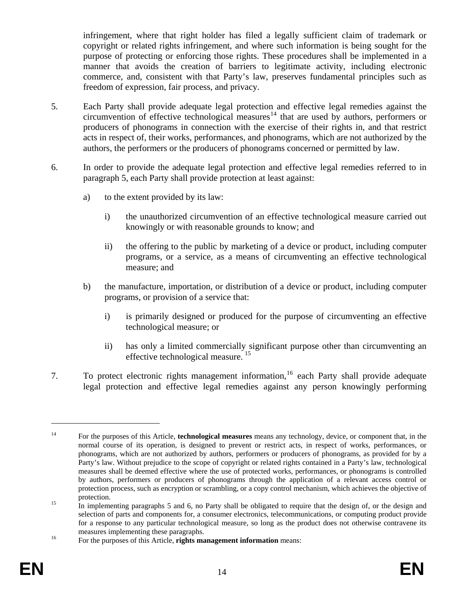infringement, where that right holder has filed a legally sufficient claim of trademark or copyright or related rights infringement, and where such information is being sought for the purpose of protecting or enforcing those rights. These procedures shall be implemented in a manner that avoids the creation of barriers to legitimate activity, including electronic commerce, and, consistent with that Party's law, preserves fundamental principles such as freedom of expression, fair process, and privacy.

- 5. Each Party shall provide adequate legal protection and effective legal remedies against the circumvention of effective technological measures $14$  that are used by authors, performers or producers of phonograms in connection with the exercise of their rights in, and that restrict acts in respect of, their works, performances, and phonograms, which are not authorized by the authors, the performers or the producers of phonograms concerned or permitted by law.
- 6. In order to provide the adequate legal protection and effective legal remedies referred to in paragraph 5, each Party shall provide protection at least against:
	- a) to the extent provided by its law:
		- i) the unauthorized circumvention of an effective technological measure carried out knowingly or with reasonable grounds to know; and
		- ii) the offering to the public by marketing of a device or product, including computer programs, or a service, as a means of circumventing an effective technological measure; and
	- b) the manufacture, importation, or distribution of a device or product, including computer programs, or provision of a service that:
		- i) is primarily designed or produced for the purpose of circumventing an effective technological measure; or
		- ii) has only a limited commercially significant purpose other than circumventing an effective technological measure. [15](#page-13-1)
- 7. To protect electronic rights management information,<sup>[16](#page-13-2)</sup> each Party shall provide adequate legal protection and effective legal remedies against any person knowingly performing

<span id="page-13-0"></span><sup>14</sup> For the purposes of this Article, **technological measures** means any technology, device, or component that, in the normal course of its operation, is designed to prevent or restrict acts, in respect of works, performances, or phonograms, which are not authorized by authors, performers or producers of phonograms, as provided for by a Party's law. Without prejudice to the scope of copyright or related rights contained in a Party's law, technological measures shall be deemed effective where the use of protected works, performances, or phonograms is controlled by authors, performers or producers of phonograms through the application of a relevant access control or protection process, such as encryption or scrambling, or a copy control mechanism, which achieves the objective of protection.<br>In implementing paragraphs 5 and 6, no Party shall be obligated to require that the design of, or the design and

<span id="page-13-1"></span>selection of parts and components for, a consumer electronics, telecommunications, or computing product provide for a response to any particular technological measure, so long as the product does not otherwise contravene its

<span id="page-13-2"></span>measures implementing these paragraphs.<br><sup>16</sup> For the purposes of this Article, **rights management information** means: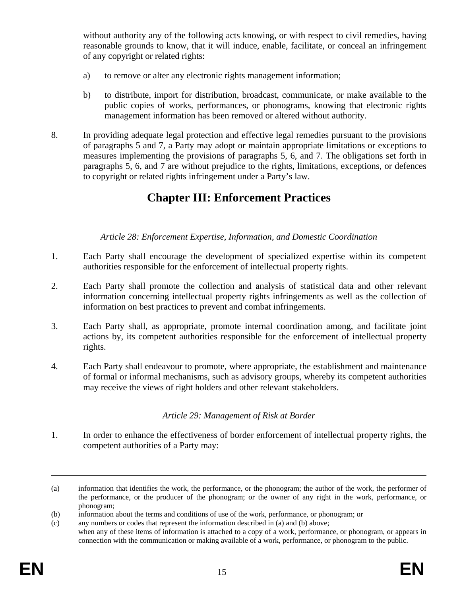without authority any of the following acts knowing, or with respect to civil remedies, having reasonable grounds to know, that it will induce, enable, facilitate, or conceal an infringement of any copyright or related rights:

- a) to remove or alter any electronic rights management information;
- b) to distribute, import for distribution, broadcast, communicate, or make available to the public copies of works, performances, or phonograms, knowing that electronic rights management information has been removed or altered without authority.
- 8. In providing adequate legal protection and effective legal remedies pursuant to the provisions of paragraphs 5 and 7, a Party may adopt or maintain appropriate limitations or exceptions to measures implementing the provisions of paragraphs 5, 6, and 7. The obligations set forth in paragraphs 5, 6, and 7 are without prejudice to the rights, limitations, exceptions, or defences to copyright or related rights infringement under a Party's law.

# **Chapter III: Enforcement Practices**

*Article 28: Enforcement Expertise, Information, and Domestic Coordination* 

- 1. Each Party shall encourage the development of specialized expertise within its competent authorities responsible for the enforcement of intellectual property rights.
- 2. Each Party shall promote the collection and analysis of statistical data and other relevant information concerning intellectual property rights infringements as well as the collection of information on best practices to prevent and combat infringements.
- 3. Each Party shall, as appropriate, promote internal coordination among, and facilitate joint actions by, its competent authorities responsible for the enforcement of intellectual property rights.
- 4. Each Party shall endeavour to promote, where appropriate, the establishment and maintenance of formal or informal mechanisms, such as advisory groups, whereby its competent authorities may receive the views of right holders and other relevant stakeholders.

#### *Article 29: Management of Risk at Border*

1. In order to enhance the effectiveness of border enforcement of intellectual property rights, the competent authorities of a Party may:

<sup>(</sup>a) information that identifies the work, the performance, or the phonogram; the author of the work, the performer of the performance, or the producer of the phonogram; or the owner of any right in the work, performance, or phonogram;

<sup>(</sup>b) information about the terms and conditions of use of the work, performance, or phonogram; or

<sup>(</sup>c) any numbers or codes that represent the information described in (a) and (b) above; when any of these items of information is attached to a copy of a work, performance, or phonogram, or appears in connection with the communication or making available of a work, performance, or phonogram to the public.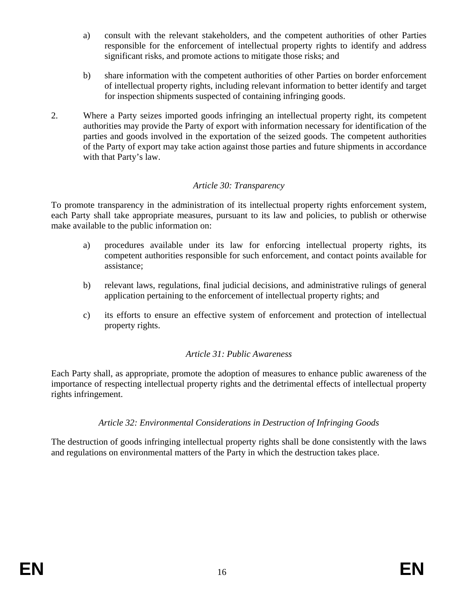- a) consult with the relevant stakeholders, and the competent authorities of other Parties responsible for the enforcement of intellectual property rights to identify and address significant risks, and promote actions to mitigate those risks; and
- b) share information with the competent authorities of other Parties on border enforcement of intellectual property rights, including relevant information to better identify and target for inspection shipments suspected of containing infringing goods.
- 2. Where a Party seizes imported goods infringing an intellectual property right, its competent authorities may provide the Party of export with information necessary for identification of the parties and goods involved in the exportation of the seized goods. The competent authorities of the Party of export may take action against those parties and future shipments in accordance with that Party's law.

#### *Article 30: Transparency*

To promote transparency in the administration of its intellectual property rights enforcement system, each Party shall take appropriate measures, pursuant to its law and policies, to publish or otherwise make available to the public information on:

- a) procedures available under its law for enforcing intellectual property rights, its competent authorities responsible for such enforcement, and contact points available for assistance;
- b) relevant laws, regulations, final judicial decisions, and administrative rulings of general application pertaining to the enforcement of intellectual property rights; and
- c) its efforts to ensure an effective system of enforcement and protection of intellectual property rights.

#### *Article 31: Public Awareness*

Each Party shall, as appropriate, promote the adoption of measures to enhance public awareness of the importance of respecting intellectual property rights and the detrimental effects of intellectual property rights infringement.

#### *Article 32: Environmental Considerations in Destruction of Infringing Goods*

The destruction of goods infringing intellectual property rights shall be done consistently with the laws and regulations on environmental matters of the Party in which the destruction takes place.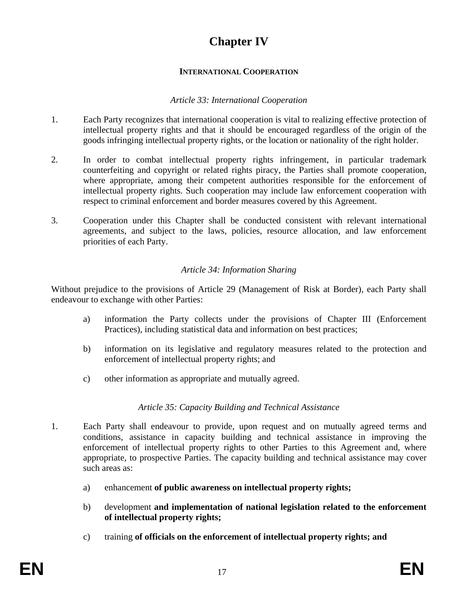# **Chapter IV**

#### **INTERNATIONAL COOPERATION**

#### *Article 33: International Cooperation*

- 1. Each Party recognizes that international cooperation is vital to realizing effective protection of intellectual property rights and that it should be encouraged regardless of the origin of the goods infringing intellectual property rights, or the location or nationality of the right holder.
- 2. In order to combat intellectual property rights infringement, in particular trademark counterfeiting and copyright or related rights piracy, the Parties shall promote cooperation, where appropriate, among their competent authorities responsible for the enforcement of intellectual property rights. Such cooperation may include law enforcement cooperation with respect to criminal enforcement and border measures covered by this Agreement.
- 3. Cooperation under this Chapter shall be conducted consistent with relevant international agreements, and subject to the laws, policies, resource allocation, and law enforcement priorities of each Party.

#### *Article 34: Information Sharing*

Without prejudice to the provisions of Article 29 (Management of Risk at Border), each Party shall endeavour to exchange with other Parties:

- a) information the Party collects under the provisions of Chapter III (Enforcement Practices), including statistical data and information on best practices;
- b) information on its legislative and regulatory measures related to the protection and enforcement of intellectual property rights; and
- c) other information as appropriate and mutually agreed.

#### *Article 35: Capacity Building and Technical Assistance*

- 1. Each Party shall endeavour to provide, upon request and on mutually agreed terms and conditions, assistance in capacity building and technical assistance in improving the enforcement of intellectual property rights to other Parties to this Agreement and, where appropriate, to prospective Parties. The capacity building and technical assistance may cover such areas as:
	- a) enhancement **of public awareness on intellectual property rights;**
	- b) development **and implementation of national legislation related to the enforcement of intellectual property rights;**
	- c) training **of officials on the enforcement of intellectual property rights; and**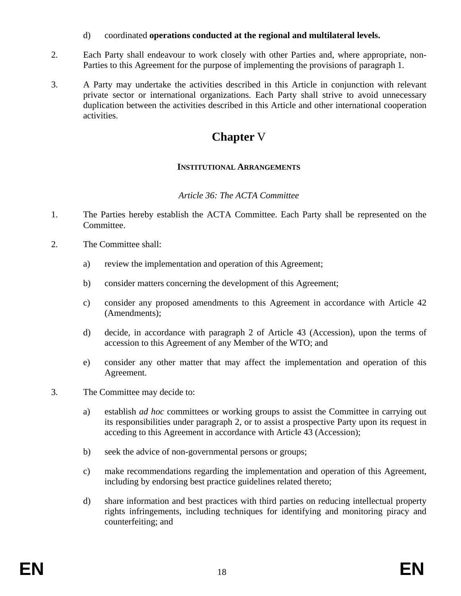#### d) coordinated **operations conducted at the regional and multilateral levels.**

- 2. Each Party shall endeavour to work closely with other Parties and, where appropriate, non-Parties to this Agreement for the purpose of implementing the provisions of paragraph 1.
- 3. A Party may undertake the activities described in this Article in conjunction with relevant private sector or international organizations. Each Party shall strive to avoid unnecessary duplication between the activities described in this Article and other international cooperation activities.

# **Chapter** V

#### **INSTITUTIONAL ARRANGEMENTS**

#### *Article 36: The ACTA Committee*

- 1. The Parties hereby establish the ACTA Committee. Each Party shall be represented on the Committee.
- 2. The Committee shall:
	- a) review the implementation and operation of this Agreement;
	- b) consider matters concerning the development of this Agreement;
	- c) consider any proposed amendments to this Agreement in accordance with Article 42 (Amendments);
	- d) decide, in accordance with paragraph 2 of Article 43 (Accession), upon the terms of accession to this Agreement of any Member of the WTO; and
	- e) consider any other matter that may affect the implementation and operation of this Agreement.
- 3. The Committee may decide to:
	- a) establish *ad hoc* committees or working groups to assist the Committee in carrying out its responsibilities under paragraph 2, or to assist a prospective Party upon its request in acceding to this Agreement in accordance with Article 43 (Accession);
	- b) seek the advice of non-governmental persons or groups;
	- c) make recommendations regarding the implementation and operation of this Agreement, including by endorsing best practice guidelines related thereto;
	- d) share information and best practices with third parties on reducing intellectual property rights infringements, including techniques for identifying and monitoring piracy and counterfeiting; and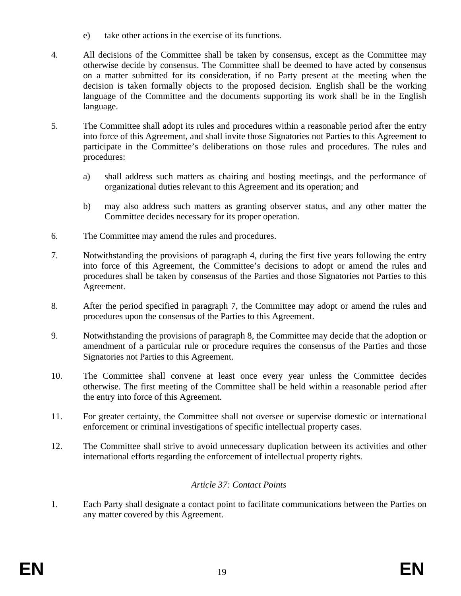- e) take other actions in the exercise of its functions.
- 4. All decisions of the Committee shall be taken by consensus, except as the Committee may otherwise decide by consensus. The Committee shall be deemed to have acted by consensus on a matter submitted for its consideration, if no Party present at the meeting when the decision is taken formally objects to the proposed decision. English shall be the working language of the Committee and the documents supporting its work shall be in the English language.
- 5. The Committee shall adopt its rules and procedures within a reasonable period after the entry into force of this Agreement, and shall invite those Signatories not Parties to this Agreement to participate in the Committee's deliberations on those rules and procedures. The rules and procedures:
	- a) shall address such matters as chairing and hosting meetings, and the performance of organizational duties relevant to this Agreement and its operation; and
	- b) may also address such matters as granting observer status, and any other matter the Committee decides necessary for its proper operation.
- 6. The Committee may amend the rules and procedures.
- 7. Notwithstanding the provisions of paragraph 4, during the first five years following the entry into force of this Agreement, the Committee's decisions to adopt or amend the rules and procedures shall be taken by consensus of the Parties and those Signatories not Parties to this Agreement.
- 8. After the period specified in paragraph 7, the Committee may adopt or amend the rules and procedures upon the consensus of the Parties to this Agreement.
- 9. Notwithstanding the provisions of paragraph 8, the Committee may decide that the adoption or amendment of a particular rule or procedure requires the consensus of the Parties and those Signatories not Parties to this Agreement.
- 10. The Committee shall convene at least once every year unless the Committee decides otherwise. The first meeting of the Committee shall be held within a reasonable period after the entry into force of this Agreement.
- 11. For greater certainty, the Committee shall not oversee or supervise domestic or international enforcement or criminal investigations of specific intellectual property cases.
- 12. The Committee shall strive to avoid unnecessary duplication between its activities and other international efforts regarding the enforcement of intellectual property rights.

### *Article 37: Contact Points*

1. Each Party shall designate a contact point to facilitate communications between the Parties on any matter covered by this Agreement.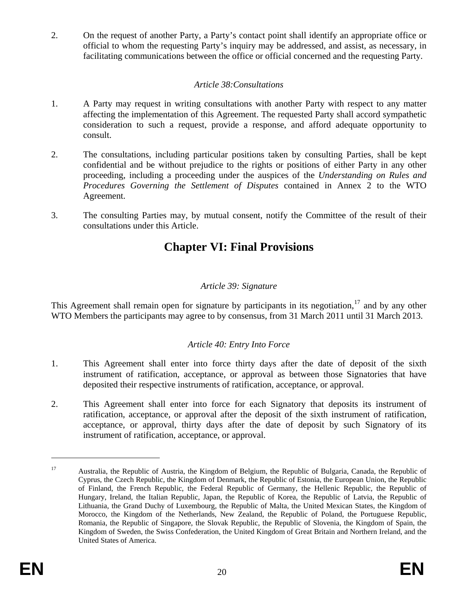2. On the request of another Party, a Party's contact point shall identify an appropriate office or official to whom the requesting Party's inquiry may be addressed, and assist, as necessary, in facilitating communications between the office or official concerned and the requesting Party.

#### *Article 38:Consultations*

- 1. A Party may request in writing consultations with another Party with respect to any matter affecting the implementation of this Agreement. The requested Party shall accord sympathetic consideration to such a request, provide a response, and afford adequate opportunity to consult.
- 2. The consultations, including particular positions taken by consulting Parties, shall be kept confidential and be without prejudice to the rights or positions of either Party in any other proceeding, including a proceeding under the auspices of the *Understanding on Rules and Procedures Governing the Settlement of Disputes* contained in Annex 2 to the WTO Agreement.
- 3. The consulting Parties may, by mutual consent, notify the Committee of the result of their consultations under this Article.

# **Chapter VI: Final Provisions**

#### *Article 39: Signature*

This Agreement shall remain open for signature by participants in its negotiation,<sup>[17](#page-19-0)</sup> and by any other WTO Members the participants may agree to by consensus, from 31 March 2011 until 31 March 2013.

#### *Article 40: Entry Into Force*

- 1. This Agreement shall enter into force thirty days after the date of deposit of the sixth instrument of ratification, acceptance, or approval as between those Signatories that have deposited their respective instruments of ratification, acceptance, or approval.
- 2. This Agreement shall enter into force for each Signatory that deposits its instrument of ratification, acceptance, or approval after the deposit of the sixth instrument of ratification, acceptance, or approval, thirty days after the date of deposit by such Signatory of its instrument of ratification, acceptance, or approval.

<span id="page-19-0"></span><sup>&</sup>lt;sup>17</sup> Australia, the Republic of Austria, the Kingdom of Belgium, the Republic of Bulgaria, Canada, the Republic of Cyprus, the Czech Republic, the Kingdom of Denmark, the Republic of Estonia, the European Union, the Republic of Finland, the French Republic, the Federal Republic of Germany, the Hellenic Republic, the Republic of Hungary, Ireland, the Italian Republic, Japan, the Republic of Korea, the Republic of Latvia, the Republic of Lithuania, the Grand Duchy of Luxembourg, the Republic of Malta, the United Mexican States, the Kingdom of Morocco, the Kingdom of the Netherlands, New Zealand, the Republic of Poland, the Portuguese Republic, Romania, the Republic of Singapore, the Slovak Republic, the Republic of Slovenia, the Kingdom of Spain, the Kingdom of Sweden, the Swiss Confederation, the United Kingdom of Great Britain and Northern Ireland, and the United States of America.